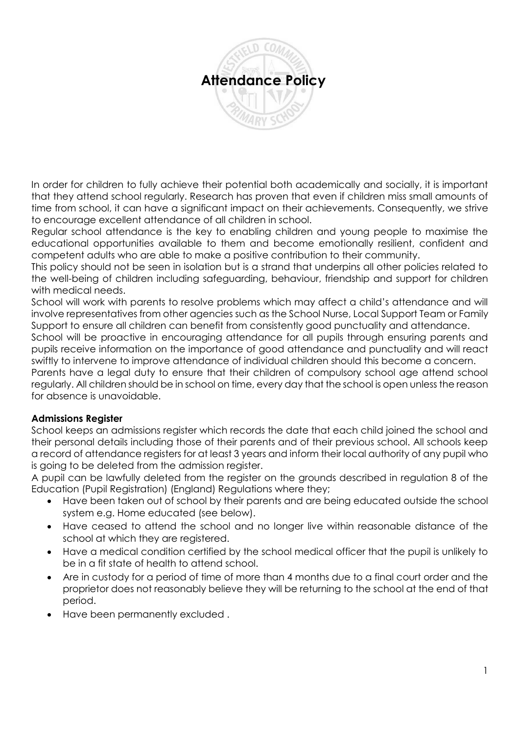

In order for children to fully achieve their potential both academically and socially, it is important that they attend school regularly. Research has proven that even if children miss small amounts of time from school, it can have a significant impact on their achievements. Consequently, we strive to encourage excellent attendance of all children in school.

Regular school attendance is the key to enabling children and young people to maximise the educational opportunities available to them and become emotionally resilient, confident and competent adults who are able to make a positive contribution to their community.

This policy should not be seen in isolation but is a strand that underpins all other policies related to the well-being of children including safeguarding, behaviour, friendship and support for children with medical needs.

School will work with parents to resolve problems which may affect a child's attendance and will involve representatives from other agencies such as the School Nurse, Local Support Team or Family Support to ensure all children can benefit from consistently good punctuality and attendance.

School will be proactive in encouraging attendance for all pupils through ensuring parents and pupils receive information on the importance of good attendance and punctuality and will react swiftly to intervene to improve attendance of individual children should this become a concern.

Parents have a legal duty to ensure that their children of compulsory school age attend school regularly. All children should be in school on time, every day that the school is open unless the reason for absence is unavoidable.

# **Admissions Register**

School keeps an admissions register which records the date that each child joined the school and their personal details including those of their parents and of their previous school. All schools keep a record of attendance registers for at least 3 years and inform their local authority of any pupil who is going to be deleted from the admission register.

A pupil can be lawfully deleted from the register on the grounds described in regulation 8 of the Education (Pupil Registration) (England) Regulations where they;

- Have been taken out of school by their parents and are being educated outside the school system e.g. Home educated (see below).
- Have ceased to attend the school and no longer live within reasonable distance of the school at which they are registered.
- Have a medical condition certified by the school medical officer that the pupil is unlikely to be in a fit state of health to attend school.
- Are in custody for a period of time of more than 4 months due to a final court order and the proprietor does not reasonably believe they will be returning to the school at the end of that period.
- Have been permanently excluded .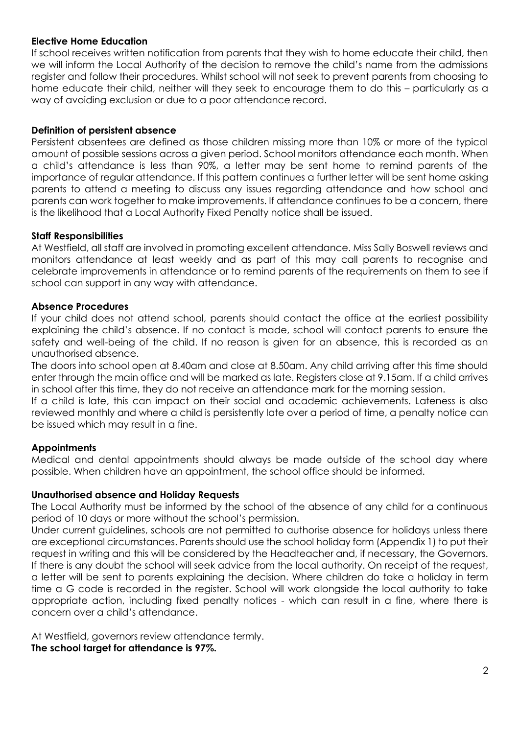## **Elective Home Education**

If school receives written notification from parents that they wish to home educate their child, then we will inform the Local Authority of the decision to remove the child's name from the admissions register and follow their procedures. Whilst school will not seek to prevent parents from choosing to home educate their child, neither will they seek to encourage them to do this – particularly as a way of avoiding exclusion or due to a poor attendance record.

## **Definition of persistent absence**

Persistent absentees are defined as those children missing more than 10% or more of the typical amount of possible sessions across a given period. School monitors attendance each month. When a child's attendance is less than 90%, a letter may be sent home to remind parents of the importance of regular attendance. If this pattern continues a further letter will be sent home asking parents to attend a meeting to discuss any issues regarding attendance and how school and parents can work together to make improvements. If attendance continues to be a concern, there is the likelihood that a Local Authority Fixed Penalty notice shall be issued.

### **Staff Responsibilities**

At Westfield, all staff are involved in promoting excellent attendance. Miss Sally Boswell reviews and monitors attendance at least weekly and as part of this may call parents to recognise and celebrate improvements in attendance or to remind parents of the requirements on them to see if school can support in any way with attendance.

## **Absence Procedures**

If your child does not attend school, parents should contact the office at the earliest possibility explaining the child's absence. If no contact is made, school will contact parents to ensure the safety and well-being of the child. If no reason is given for an absence, this is recorded as an unauthorised absence.

The doors into school open at 8.40am and close at 8.50am. Any child arriving after this time should enter through the main office and will be marked as late. Registers close at 9.15am. If a child arrives in school after this time, they do not receive an attendance mark for the morning session.

If a child is late, this can impact on their social and academic achievements. Lateness is also reviewed monthly and where a child is persistently late over a period of time, a penalty notice can be issued which may result in a fine.

### **Appointments**

Medical and dental appointments should always be made outside of the school day where possible. When children have an appointment, the school office should be informed.

### **Unauthorised absence and Holiday Requests**

The Local Authority must be informed by the school of the absence of any child for a continuous period of 10 days or more without the school's permission.

Under current guidelines, schools are not permitted to authorise absence for holidays unless there are exceptional circumstances. Parents should use the school holiday form (Appendix 1) to put their request in writing and this will be considered by the Headteacher and, if necessary, the Governors. If there is any doubt the school will seek advice from the local authority. On receipt of the request, a letter will be sent to parents explaining the decision. Where children do take a holiday in term time a G code is recorded in the register. School will work alongside the local authority to take appropriate action, including fixed penalty notices - which can result in a fine, where there is concern over a child's attendance.

At Westfield, governors review attendance termly. **The school target for attendance is 97%.**